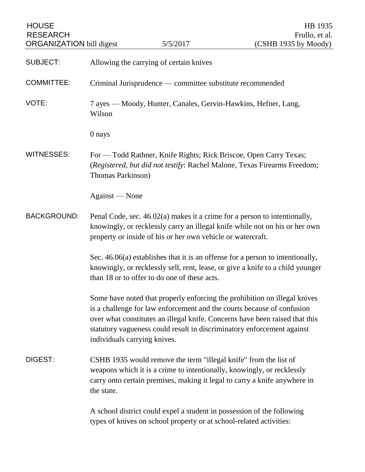| <b>HOUSE</b><br><b>RESEARCH</b><br><b>ORGANIZATION</b> bill digest |                                                                                                                                                                                                                                       | 5/5/2017                                                            | HB 1935<br>Frullo, et al.<br>(CSHB 1935 by Moody)                                                                                                                                                                                                                                                            |
|--------------------------------------------------------------------|---------------------------------------------------------------------------------------------------------------------------------------------------------------------------------------------------------------------------------------|---------------------------------------------------------------------|--------------------------------------------------------------------------------------------------------------------------------------------------------------------------------------------------------------------------------------------------------------------------------------------------------------|
| <b>SUBJECT:</b>                                                    | Allowing the carrying of certain knives                                                                                                                                                                                               |                                                                     |                                                                                                                                                                                                                                                                                                              |
| <b>COMMITTEE:</b>                                                  | Criminal Jurisprudence — committee substitute recommended                                                                                                                                                                             |                                                                     |                                                                                                                                                                                                                                                                                                              |
| VOTE:                                                              | 7 ayes — Moody, Hunter, Canales, Gervin-Hawkins, Hefner, Lang,<br>Wilson                                                                                                                                                              |                                                                     |                                                                                                                                                                                                                                                                                                              |
|                                                                    | 0 nays                                                                                                                                                                                                                                |                                                                     |                                                                                                                                                                                                                                                                                                              |
| <b>WITNESSES:</b>                                                  | For - Todd Rathner, Knife Rights; Rick Briscoe, Open Carry Texas;<br>(Registered, but did not testify: Rachel Malone, Texas Firearms Freedom;<br>Thomas Parkinson)                                                                    |                                                                     |                                                                                                                                                                                                                                                                                                              |
|                                                                    | Against — None                                                                                                                                                                                                                        |                                                                     |                                                                                                                                                                                                                                                                                                              |
| <b>BACKGROUND:</b>                                                 | Penal Code, sec. 46.02(a) makes it a crime for a person to intentionally,<br>knowingly, or recklessly carry an illegal knife while not on his or her own<br>property or inside of his or her own vehicle or watercraft.               |                                                                     |                                                                                                                                                                                                                                                                                                              |
|                                                                    | Sec. $46.06(a)$ establishes that it is an offense for a person to intentionally,<br>knowingly, or recklessly sell, rent, lease, or give a knife to a child younger<br>than 18 or to offer to do one of these acts.                    |                                                                     |                                                                                                                                                                                                                                                                                                              |
|                                                                    | individuals carrying knives.                                                                                                                                                                                                          |                                                                     | Some have noted that properly enforcing the prohibition on illegal knives<br>is a challenge for law enforcement and the courts because of confusion<br>over what constitutes an illegal knife. Concerns have been raised that this<br>statutory vagueness could result in discriminatory enforcement against |
| DIGEST:                                                            | CSHB 1935 would remove the term "illegal knife" from the list of<br>weapons which it is a crime to intentionally, knowingly, or recklessly<br>carry onto certain premises, making it legal to carry a knife anywhere in<br>the state. |                                                                     |                                                                                                                                                                                                                                                                                                              |
|                                                                    |                                                                                                                                                                                                                                       | types of knives on school property or at school-related activities: | A school district could expel a student in possession of the following                                                                                                                                                                                                                                       |